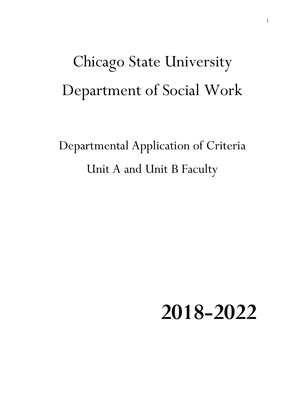# Chicago State University Department of Social Work

Departmental Application of Criteria Unit A and Unit B Faculty

 **2018-2022**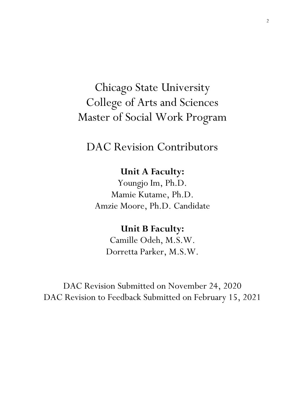# Chicago State University College of Arts and Sciences Master of Social Work Program

DAC Revision Contributors

### **Unit A Faculty:**

Youngjo Im, Ph.D. Mamie Kutame, Ph.D. Amzie Moore, Ph.D. Candidate

## **Unit B Faculty:**

Camille Odeh, M.S.W. Dorretta Parker, M.S.W.

DAC Revision Submitted on November 24, 2020 DAC Revision to Feedback Submitted on February 15, 2021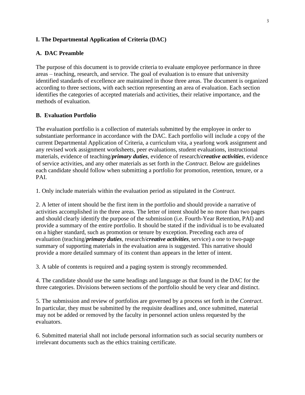#### **I. The Departmental Application of Criteria (DAC)**

#### **A. DAC Preamble**

The purpose of this document is to provide criteria to evaluate employee performance in three areas – teaching, research, and service. The goal of evaluation is to ensure that university identified standards of excellence are maintained in those three areas. The document is organized according to three sections, with each section representing an area of evaluation. Each section identifies the categories of accepted materials and activities, their relative importance, and the methods of evaluation.

#### **B. Evaluation Portfolio**

The evaluation portfolio is a collection of materials submitted by the employee in order to substantiate performance in accordance with the DAC. Each portfolio will include a copy of the current Departmental Application of Criteria, a curriculum vita, a yearlong work assignment and any revised work assignment worksheets, peer evaluations, student evaluations, instructional materials, evidence of teaching/*primary duties*, evidence of research/*creative activities*, evidence of service activities, and any other materials as set forth in the *Contract.* Below are guidelines each candidate should follow when submitting a portfolio for promotion, retention, tenure, or a PAI.

1. Only include materials within the evaluation period as stipulated in the *Contract*.

2. A letter of intent should be the first item in the portfolio and should provide a narrative of activities accomplished in the three areas. The letter of intent should be no more than two pages and should clearly identify the purpose of the submission (i.e. Fourth-Year Retention, PAI) and provide a summary of the entire portfolio. It should be stated if the individual is to be evaluated on a higher standard, such as promotion or tenure by exception. Preceding each area of evaluation (teaching/*primary duties*, research/*creative activities*, service) a one to two-page summary of supporting materials in the evaluation area is suggested. This narrative should provide a more detailed summary of its content than appears in the letter of intent.

3. A table of contents is required and a paging system is strongly recommended.

4. The candidate should use the same headings and language as that found in the DAC for the three categories. Divisions between sections of the portfolio should be very clear and distinct.

5. The submission and review of portfolios are governed by a process set forth in the *Contract*. In particular, they must be submitted by the requisite deadlines and, once submitted, material may not be added or removed by the faculty in personnel action unless requested by the evaluators.

6. Submitted material shall not include personal information such as social security numbers or irrelevant documents such as the ethics training certificate.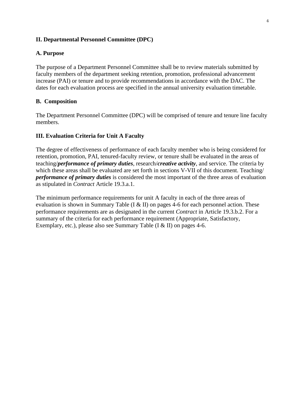#### **II. Departmental Personnel Committee (DPC)**

#### **A. Purpose**

The purpose of a Department Personnel Committee shall be to review materials submitted by faculty members of the department seeking retention, promotion, professional advancement increase (PAI) or tenure and to provide recommendations in accordance with the DAC. The dates for each evaluation process are specified in the annual university evaluation timetable.

#### **B. Composition**

The Department Personnel Committee (DPC) will be comprised of tenure and tenure line faculty members.

#### **III. Evaluation Criteria for Unit A Faculty**

The degree of effectiveness of performance of each faculty member who is being considered for retention, promotion, PAI, tenured-faculty review, or tenure shall be evaluated in the areas of teaching/*performance of primary duties*, research/*creative activity*, and service. The criteria by which these areas shall be evaluated are set forth in sections V-VII of this document. Teaching/ *performance of primary duties* is considered the most important of the three areas of evaluation as stipulated in *Contract* Article 19.3.a.1.

The minimum performance requirements for unit A faculty in each of the three areas of evaluation is shown in Summary Table (I & II) on pages 4-6 for each personnel action. These performance requirements are as designated in the current *Contract* in Article 19.3.b.2. For a summary of the criteria for each performance requirement (Appropriate, Satisfactory, Exemplary, etc.), please also see Summary Table (I & II) on pages 4-6.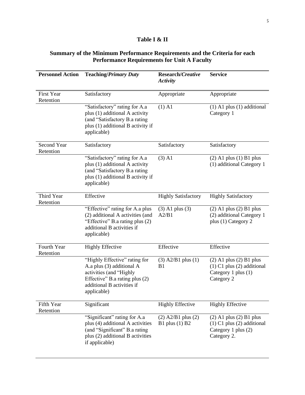#### **Table I & II**

#### **Summary of the Minimum Performance Requirements and the Criteria for each Performance Requirements for Unit A Faculty**

| <b>Personnel Action</b>         | <b>Teaching/Primary Duty</b>                                                                                                                                         | Research/Creative<br><b>Activity</b>       | <b>Service</b>                                                                                      |
|---------------------------------|----------------------------------------------------------------------------------------------------------------------------------------------------------------------|--------------------------------------------|-----------------------------------------------------------------------------------------------------|
| <b>First Year</b><br>Retention  | Satisfactory                                                                                                                                                         | Appropriate                                | Appropriate                                                                                         |
|                                 | "Satisfactory" rating for A.a<br>plus (1) additional A activity<br>(and "Satisfactory B.a rating<br>plus (1) additional B activity if<br>applicable)                 | $(1)$ A1                                   | $(1)$ A1 plus $(1)$ additional<br>Category 1                                                        |
| <b>Second Year</b><br>Retention | Satisfactory                                                                                                                                                         | Satisfactory                               | Satisfactory                                                                                        |
|                                 | "Satisfactory" rating for A.a<br>plus (1) additional A activity<br>(and "Satisfactory B.a rating<br>plus (1) additional B activity if<br>applicable)                 | $(3)$ A1                                   | $(2)$ A1 plus $(1)$ B1 plus<br>(1) additional Category 1                                            |
| Third Year<br>Retention         | Effective                                                                                                                                                            | <b>Highly Satisfactory</b>                 | <b>Highly Satisfactory</b>                                                                          |
|                                 | "Effective" rating for A.a plus<br>(2) additional A activities (and<br>"Effective" B.a rating plus (2)<br>additional B activities if<br>applicable)                  | $(3)$ A1 plus $(3)$<br>A2/B1               | $(2)$ A1 plus $(2)$ B1 plus<br>(2) additional Category 1<br>plus (1) Category 2                     |
| Fourth Year<br>Retention        | <b>Highly Effective</b>                                                                                                                                              | Effective                                  | Effective                                                                                           |
|                                 | "Highly Effective" rating for<br>A.a plus (3) additional A<br>activities (and "Highly<br>Effective" B.a rating plus (2)<br>additional B activities if<br>applicable) | $(3)$ A2/B1 plus $(1)$<br>B1               | $(2)$ A1 plus $(2)$ B1 plus<br>$(1)$ C1 plus $(2)$ additional<br>Category 1 plus (1)<br>Category 2  |
| Fifth Year<br>Retention         | Significant                                                                                                                                                          | <b>Highly Effective</b>                    | <b>Highly Effective</b>                                                                             |
|                                 | "Significant" rating for A.a<br>plus (4) additional A activities<br>(and "Significant" B.a rating<br>plus (2) additional B activities<br>if applicable)              | $(2)$ A2/B1 plus $(2)$<br>B1 plus $(1)$ B2 | $(2)$ A1 plus $(2)$ B1 plus<br>$(1)$ C1 plus $(2)$ additional<br>Category 1 plus (2)<br>Category 2. |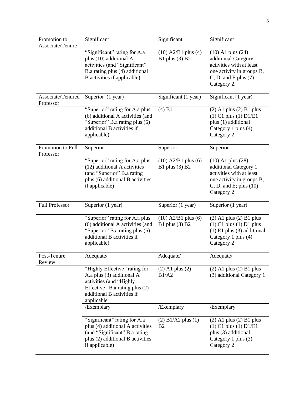| Promotion to                   | Significant                                                                                                                                                         | Significant                                 | Significant                                                                                                                                       |
|--------------------------------|---------------------------------------------------------------------------------------------------------------------------------------------------------------------|---------------------------------------------|---------------------------------------------------------------------------------------------------------------------------------------------------|
| Associate/Tenure               | "Significant" rating for A.a<br>plus (10) additional A<br>activities (and "Significant"<br>B.a rating plus (4) additional<br>B activities if applicable)            | $(10)$ A2/B1 plus $(4)$<br>B1 plus $(3)$ B2 | $(10)$ A1 plus $(24)$<br>additional Category 1<br>activities with at least<br>one activity in groups B,<br>C, D, and E plus (7)<br>Category 2.    |
| Associate/Tenured<br>Professor | Superior (1 year)                                                                                                                                                   | Significant (1 year)                        | Significant (1 year)                                                                                                                              |
|                                | "Superior" rating for A.a plus<br>(6) additional A activities (and<br>"Superior" B.a rating plus (6)<br>additional B activities if<br>applicable)                   | $(4)$ B1                                    | $(2)$ A1 plus $(2)$ B1 plus<br>$(1)$ C1 plus $(1)$ D1/E1<br>plus (1) additional<br>Category 1 plus (4)<br>Category 2                              |
| Promotion to Full<br>Professor | Superior                                                                                                                                                            | Superior                                    | Superior                                                                                                                                          |
|                                | "Superior" rating for A.a plus<br>(12) additional A activities<br>(and "Superior" B.a rating<br>plus (6) additional B activities<br>if applicable)                  | $(10)$ A2/B1 plus $(6)$<br>B1 plus $(3)$ B2 | $(10)$ A1 plus $(28)$<br>additional Category 1<br>activities with at least<br>one activity in groups B,<br>C, D, and E; plus $(10)$<br>Category 2 |
| <b>Full Professor</b>          | Superior (1 year)                                                                                                                                                   | Superior (1 year)                           | Superior (1 year)                                                                                                                                 |
|                                | "Superior" rating for A.a plus<br>(6) additional A activities (and<br>"Superior" B.a rating plus (6)<br>additional B activities if<br>applicable)                   | $(10)$ A2/B1 plus $(6)$<br>B1 plus (3) B2   | $(2)$ A1 plus $(2)$ B1 plus<br>$(1)$ C1 plus $(1)$ D1 plus<br>$(1)$ E1 plus $(3)$ additional<br>Category 1 plus (4)<br>Category 2                 |
| Post-Tenure<br>Review          | Adequate/                                                                                                                                                           | Adequate/                                   | Adequate/                                                                                                                                         |
|                                | "Highly Effective" rating for<br>A.a plus (3) additional A<br>activities (and "Highly<br>Effective" B.a rating plus (2)<br>additional B activities if<br>applicable | $(2)$ A1 plus $(2)$<br>B1/A2                | $(2)$ A1 plus $(2)$ B1 plus<br>(3) additional Category 1                                                                                          |
|                                | /Exemplary                                                                                                                                                          | /Exemplary                                  | /Exemplary                                                                                                                                        |
|                                | "Significant" rating for A.a<br>plus (4) additional A activities<br>(and "Significant" B.a rating<br>plus (2) additional B activities<br>if applicable)             | $(2)$ B1/A2 plus $(1)$<br>B <sub>2</sub>    | $(2)$ A1 plus $(2)$ B1 plus<br>$(1)$ C1 plus $(1)$ D1/E1<br>plus (3) additional<br>Category 1 plus (3)<br>Category 2                              |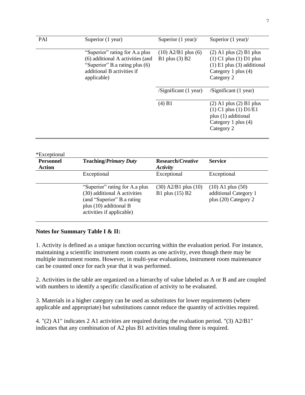| PAI | Superior (1 year)                                                                                                                                 | Superior $(1 \text{ year})$                                                                                          | Superior $(1$ year)/                                                                                                              |
|-----|---------------------------------------------------------------------------------------------------------------------------------------------------|----------------------------------------------------------------------------------------------------------------------|-----------------------------------------------------------------------------------------------------------------------------------|
|     | "Superior" rating for A.a plus<br>(6) additional A activities (and<br>"Superior" B.a rating plus (6)<br>additional B activities if<br>applicable) | $(10)$ A2/B1 plus $(6)$<br>B1 plus $(3)$ B2                                                                          | $(2)$ A1 plus $(2)$ B1 plus<br>$(1)$ C1 plus $(1)$ D1 plus<br>$(1)$ E1 plus $(3)$ additional<br>Category 1 plus (4)<br>Category 2 |
|     |                                                                                                                                                   | $\sqrt{\text{Significant}}$ (1 year)                                                                                 | $\sqrt{\text{Significant}}$ (1 year)                                                                                              |
|     | (4) B1                                                                                                                                            | $(2)$ A1 plus $(2)$ B1 plus<br>$(1)$ C1 plus $(1)$ D1/E1<br>plus (1) additional<br>Category 1 plus (4)<br>Category 2 |                                                                                                                                   |

| <b>Personnel</b><br><b>Action</b> | <b>Teaching/Primary Duty</b>                                                                                                                        | Research/Creative<br>Activity                 | <b>Service</b>                                                         |
|-----------------------------------|-----------------------------------------------------------------------------------------------------------------------------------------------------|-----------------------------------------------|------------------------------------------------------------------------|
|                                   | Exceptional                                                                                                                                         | Exceptional                                   | Exceptional                                                            |
|                                   | "Superior" rating for A.a plus<br>(30) additional A activities<br>(and "Superior" B.a rating<br>plus (10) additional B<br>activities if applicable) | $(30)$ A2/B1 plus $(10)$<br>B1 plus $(15)$ B2 | $(10)$ A1 plus $(50)$<br>additional Category 1<br>plus (20) Category 2 |

#### **Notes for Summary Table I & II:**

1. Activity is defined as a unique function occurring within the evaluation period. For instance, maintaining a scientific instrument room counts as one activity, even though there may be multiple instrument rooms. However, in multi-year evaluations, instrument room maintenance can be counted once for each year that it was performed.

2. Activities in the table are organized on a hierarchy of value labeled as A or B and are coupled with numbers to identify a specific classification of activity to be evaluated.

3. Materials in a higher category can be used as substitutes for lower requirements (where applicable and appropriate) but substitutions cannot reduce the quantity of activities required.

4. "(2) A1" indicates 2 A1 activities are required during the evaluation period. "(3) A2/B1" indicates that any combination of A2 plus B1 activities totaling three is required.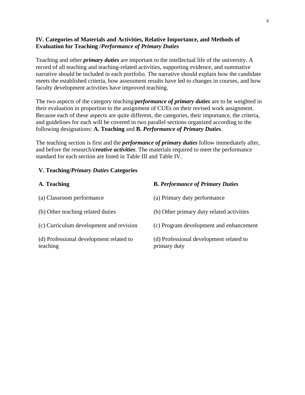#### **IV. Categories of Materials and Activities, Relative Importance, and Methods of Evaluation for Teaching /***Performance of Primary Duties*

Teaching and other *primary duties* are important to the intellectual life of the university. A record of all teaching and teaching-related activities, supporting evidence, and summative narrative should be included in each portfolio. The narrative should explain how the candidate meets the established criteria, how assessment results have led to changes in courses, and how faculty development activities have improved teaching.

The two aspects of the category teaching/*performance of primary duties* are to be weighted in their evaluation in proportion to the assignment of CUEs on their revised work assignment. Because each of these aspects are quite different, the categories, their importance, the criteria, and guidelines for each will be covered in two parallel sections organized according to the following designations: **A. Teaching** and **B.** *Performance of Primary Duties*.

The teaching section is first and the *performance of primary duties* follow immediately after, and before the research/*creative activities*. The materials required to meet the performance standard for each section are listed in Table III and Table IV.

#### **V. Teaching/***Primary Duties* **Categories**

| A. Teaching                                         | <b>B. Performance of Primary Duties</b>                 |
|-----------------------------------------------------|---------------------------------------------------------|
| (a) Classroom performance                           | (a) Primary duty performance                            |
| (b) Other teaching related duties                   | (b) Other primary duty related activities               |
| (c) Curriculum development and revision             | (c) Program development and enhancement                 |
| (d) Professional development related to<br>teaching | (d) Professional development related to<br>primary duty |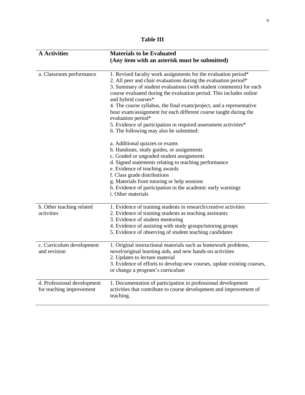| <b>A</b> Activities                                     | <b>Materials to be Evaluated</b>                                                                                                                                                                                                                                                                                                                                                                                                                                                                                                                                                                                                                                                                                                                                                                                                                                                                                                                           |
|---------------------------------------------------------|------------------------------------------------------------------------------------------------------------------------------------------------------------------------------------------------------------------------------------------------------------------------------------------------------------------------------------------------------------------------------------------------------------------------------------------------------------------------------------------------------------------------------------------------------------------------------------------------------------------------------------------------------------------------------------------------------------------------------------------------------------------------------------------------------------------------------------------------------------------------------------------------------------------------------------------------------------|
|                                                         | (Any item with an asterisk must be submitted)                                                                                                                                                                                                                                                                                                                                                                                                                                                                                                                                                                                                                                                                                                                                                                                                                                                                                                              |
| a. Classroom performance                                | 1. Revised faculty work assignments for the evaluation period*<br>2. All peer and chair evaluations during the evaluation period*<br>3. Summary of student evaluations (with student comments) for each<br>course evaluated during the evaluation period. This includes online<br>and hybrid courses*<br>4. The course syllabus, the final exam/project, and a representative<br>hour exam/assignment for each different course taught during the<br>evaluation period*<br>5. Evidence of participation in required assessment activities*<br>6. The following may also be submitted:<br>a. Additional quizzes or exams<br>b. Handouts, study guides, or assignments<br>c. Graded or ungraded student assignments<br>d. Signed statements relating to teaching performance<br>e. Evidence of teaching awards<br>f. Class grade distributions<br>g. Materials from tutoring or help sessions<br>h. Evidence of participation in the academic early warnings |
|                                                         | <i>i</i> . Other materials                                                                                                                                                                                                                                                                                                                                                                                                                                                                                                                                                                                                                                                                                                                                                                                                                                                                                                                                 |
| b. Other teaching related<br>activities                 | 1. Evidence of training students in research/creative activities<br>2. Evidence of training students as teaching assistants<br>3. Evidence of student mentoring<br>4. Evidence of assisting with study groups/tutoring groups<br>5. Evidence of observing of student teaching candidates                                                                                                                                                                                                                                                                                                                                                                                                                                                                                                                                                                                                                                                                   |
| c. Curriculum development<br>and revision               | 1. Original instructional materials such as homework problems,<br>novel/original learning aids, and new hands-on activities<br>2. Updates to lecture material<br>3. Evidence of efforts to develop new courses, update existing courses,<br>or change a program's curriculum                                                                                                                                                                                                                                                                                                                                                                                                                                                                                                                                                                                                                                                                               |
| d. Professional development<br>for teaching improvement | 1. Documentation of participation in professional development<br>activities that contribute to course development and improvement of<br>teaching.                                                                                                                                                                                                                                                                                                                                                                                                                                                                                                                                                                                                                                                                                                                                                                                                          |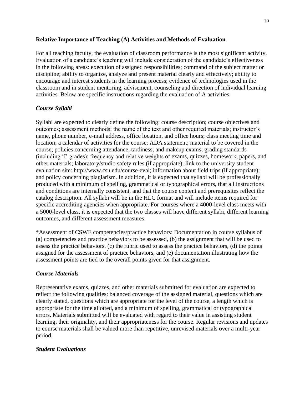#### **Relative Importance of Teaching (A) Activities and Methods of Evaluation**

For all teaching faculty, the evaluation of classroom performance is the most significant activity. Evaluation of a candidate's teaching will include consideration of the candidate's effectiveness in the following areas: execution of assigned responsibilities; command of the subject matter or discipline; ability to organize, analyze and present material clearly and effectively; ability to encourage and interest students in the learning process; evidence of technologies used in the classroom and in student mentoring, advisement, counseling and direction of individual learning activities. Below are specific instructions regarding the evaluation of A activities:

#### *Course Syllabi*

Syllabi are expected to clearly define the following: course description; course objectives and outcomes; assessment methods; the name of the text and other required materials; instructor's name, phone number, e-mail address, office location, and office hours; class meeting time and location; a calendar of activities for the course; ADA statement; material to be covered in the course; policies concerning attendance, tardiness, and makeup exams; grading standards (including 'I' grades); frequency and relative weights of exams, quizzes, homework, papers, and other materials; laboratory/studio safety rules (if appropriate); link to the university student evaluation site: http://www.csu.edu/course-eval; information about field trips (if appropriate); and policy concerning plagiarism. In addition, it is expected that syllabi will be professionally produced with a minimum of spelling, grammatical or typographical errors, that all instructions and conditions are internally consistent, and that the course content and prerequisites reflect the catalog description. All syllabi will be in the HLC format and will include items required for specific accrediting agencies when appropriate. For courses where a 4000-level class meets with a 5000-level class, it is expected that the two classes will have different syllabi, different learning outcomes, and different assessment measures.

\*Assessment of CSWE competencies/practice behaviors: Documentation in course syllabus of (a) competencies and practice behaviors to be assessed, (b) the assignment that will be used to assess the practice behaviors, (c) the rubric used to assess the practice behaviors, (d) the points assigned for the assessment of practice behaviors, and (e) documentation illustrating how the assessment points are tied to the overall points given for that assignment.

#### *Course Materials*

Representative exams, quizzes, and other materials submitted for evaluation are expected to reflect the following qualities: balanced coverage of the assigned material, questions which are clearly stated, questions which are appropriate for the level of the course, a length which is appropriate for the time allotted, and a minimum of spelling, grammatical or typographical errors. Materials submitted will be evaluated with regard to their value in assisting student learning, their originality, and their appropriateness for the course. Regular revisions and updates to course materials shall be valued more than repetitive, unrevised materials over a multi-year period.

#### *Student Evaluations*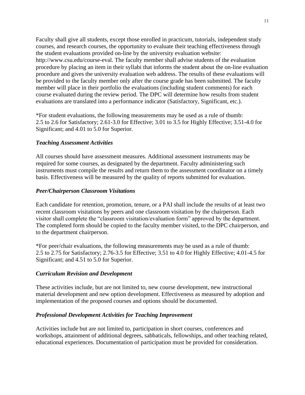Faculty shall give all students, except those enrolled in practicum, tutorials, independent study courses, and research courses, the opportunity to evaluate their teaching effectiveness through the student evaluations provided on-line by the university evaluation website: http://www.csu.edu/course-eval. The faculty member shall advise students of the evaluation procedure by placing an item in their syllabi that informs the student about the on-line evaluation procedure and gives the university evaluation web address. The results of these evaluations will be provided to the faculty member only after the course grade has been submitted. The faculty member will place in their portfolio the evaluations (including student comments) for each course evaluated during the review period. The DPC will determine how results from student evaluations are translated into a performance indicator (Satisfactory, Significant, etc.).

\*For student evaluations, the following measurements may be used as a rule of thumb: 2.5 to 2.6 for Satisfactory; 2.61-3.0 for Effective; 3.01 to 3.5 for Highly Effective; 3.51-4.0 for Significant; and 4.01 to 5.0 for Superior.

#### *Teaching Assessment Activities*

All courses should have assessment measures. Additional assessment instruments may be required for some courses, as designated by the department. Faculty administering such instruments must compile the results and return them to the assessment coordinator on a timely basis. Effectiveness will be measured by the quality of reports submitted for evaluation.

#### *Peer/Chairperson Classroom Visitations*

Each candidate for retention, promotion, tenure, or a PAI shall include the results of at least two recent classroom visitations by peers and one classroom visitation by the chairperson. Each visitor shall complete the "classroom visitation/evaluation form" approved by the department. The completed form should be copied to the faculty member visited, to the DPC chairperson, and to the department chairperson.

\*For peer/chair evaluations, the following measurements may be used as a rule of thumb: 2.5 to 2.75 for Satisfactory; 2.76-3.5 for Effective; 3.51 to 4.0 for Highly Effective; 4.01-4.5 for Significant; and 4.51 to 5.0 for Superior.

#### *Curriculum Revision and Development*

These activities include, but are not limited to, new course development, new instructional material development and new option development. Effectiveness as measured by adoption and implementation of the proposed courses and options should be documented.

#### *Professional Development Activities for Teaching Improvement*

Activities include but are not limited to, participation in short courses, conferences and workshops, attainment of additional degrees, sabbaticals, fellowships, and other teaching related, educational experiences. Documentation of participation must be provided for consideration.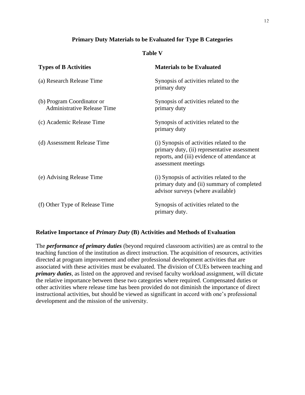#### **Primary Duty Materials to be Evaluated for Type B Categories**

#### **Table V**

| <b>Types of B Activities</b>                                     | <b>Materials to be Evaluated</b>                                                                                                                                 |
|------------------------------------------------------------------|------------------------------------------------------------------------------------------------------------------------------------------------------------------|
| (a) Research Release Time                                        | Synopsis of activities related to the<br>primary duty                                                                                                            |
| (b) Program Coordinator or<br><b>Administrative Release Time</b> | Synopsis of activities related to the<br>primary duty                                                                                                            |
| (c) Academic Release Time                                        | Synopsis of activities related to the<br>primary duty                                                                                                            |
| (d) Assessment Release Time                                      | (i) Synopsis of activities related to the<br>primary duty, (ii) representative assessment<br>reports, and (iii) evidence of attendance at<br>assessment meetings |
| (e) Advising Release Time                                        | (i) Synopsis of activities related to the<br>primary duty and (ii) summary of completed<br>advisor surveys (where available)                                     |
| (f) Other Type of Release Time                                   | Synopsis of activities related to the<br>primary duty.                                                                                                           |

#### **Relative Importance of** *Primary Duty* **(B) Activities and Methods of Evaluation**

The *performance of primary duties* (beyond required classroom activities) are as central to the teaching function of the institution as direct instruction. The acquisition of resources, activities directed at program improvement and other professional development activities that are associated with these activities must be evaluated. The division of CUEs between teaching and *primary duties*, as listed on the approved and revised faculty workload assignment, will dictate the relative importance between these two categories where required. Compensated duties or other activities where release time has been provided do not diminish the importance of direct instructional activities, but should be viewed as significant in accord with one's professional development and the mission of the university.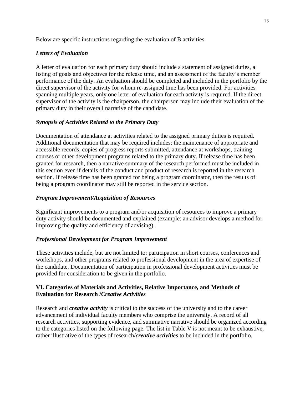Below are specific instructions regarding the evaluation of B activities:

#### *Letters of Evaluation*

A letter of evaluation for each primary duty should include a statement of assigned duties, a listing of goals and objectives for the release time, and an assessment of the faculty's member performance of the duty. An evaluation should be completed and included in the portfolio by the direct supervisor of the activity for whom re-assigned time has been provided. For activities spanning multiple years, only one letter of evaluation for each activity is required. If the direct supervisor of the activity is the chairperson, the chairperson may include their evaluation of the primary duty in their overall narrative of the candidate.

#### *Synopsis of Activities Related to the Primary Duty*

Documentation of attendance at activities related to the assigned primary duties is required. Additional documentation that may be required includes: the maintenance of appropriate and accessible records, copies of progress reports submitted, attendance at workshops, training courses or other development programs related to the primary duty. If release time has been granted for research, then a narrative summary of the research performed must be included in this section even if details of the conduct and product of research is reported in the research section. If release time has been granted for being a program coordinator, then the results of being a program coordinator may still be reported in the service section.

#### *Program Improvement/Acquisition of Resources*

Significant improvements to a program and/or acquisition of resources to improve a primary duty activity should be documented and explained (example: an advisor develops a method for improving the quality and efficiency of advising).

#### *Professional Development for Program Improvement*

These activities include, but are not limited to: participation in short courses, conferences and workshops, and other programs related to professional development in the area of expertise of the candidate. Documentation of participation in professional development activities must be provided for consideration to be given in the portfolio.

#### **VI. Categories of Materials and Activities, Relative Importance, and Methods of Evaluation for Research /***Creative Activities*

Research and *creative activity* is critical to the success of the university and to the career advancement of individual faculty members who comprise the university. A record of all research activities, supporting evidence, and summative narrative should be organized according to the categories listed on the following page. The list in Table V is not meant to be exhaustive, rather illustrative of the types of research/*creative activities* to be included in the portfolio.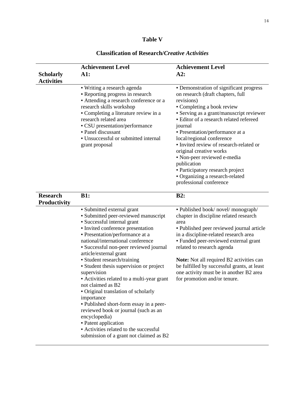#### **Table V**

| <b>Scholarly</b><br><b>Activities</b> | <b>Achievement Level</b><br>A1:                                                                                                                                                                                                                                                                                                                                                                                                                                                                                                                                                                                                                                                                                      | <b>Achievement Level</b><br>A2:                                                                                                                                                                                                                                                                                                                                                                                                                                                                                  |
|---------------------------------------|----------------------------------------------------------------------------------------------------------------------------------------------------------------------------------------------------------------------------------------------------------------------------------------------------------------------------------------------------------------------------------------------------------------------------------------------------------------------------------------------------------------------------------------------------------------------------------------------------------------------------------------------------------------------------------------------------------------------|------------------------------------------------------------------------------------------------------------------------------------------------------------------------------------------------------------------------------------------------------------------------------------------------------------------------------------------------------------------------------------------------------------------------------------------------------------------------------------------------------------------|
|                                       | • Writing a research agenda<br>• Reporting progress in research<br>• Attending a research conference or a<br>research skills workshop<br>• Completing a literature review in a<br>research related area<br>• CSU presentation/performance<br>• Panel discussant<br>• Unsuccessful or submitted internal<br>grant proposal                                                                                                                                                                                                                                                                                                                                                                                            | • Demonstration of significant progress<br>on research (draft chapters, full<br>revisions)<br>• Completing a book review<br>• Serving as a grant/manuscript reviewer<br>• Editor of a research related refereed<br>journal<br>• Presentation/performance at a<br>local/regional conference<br>• Invited review of research-related or<br>original creative works<br>• Non-peer reviewed e-media<br>publication<br>· Participatory research project<br>• Organizing a research-related<br>professional conference |
| <b>Research</b><br>Productivity       | <b>B1:</b>                                                                                                                                                                                                                                                                                                                                                                                                                                                                                                                                                                                                                                                                                                           | B2:                                                                                                                                                                                                                                                                                                                                                                                                                                                                                                              |
|                                       | • Submitted external grant<br>• Submitted peer-reviewed manuscript<br>• Successful internal grant<br>· Invited conference presentation<br>• Presentation/performance at a<br>national/international conference<br>· Successful non-peer reviewed journal<br>article/external grant<br>• Student research/training<br>• Student thesis supervision or project<br>supervision<br>- Activities related to a multi-year grant<br>not claimed as B2<br>• Original translation of scholarly<br>importance<br>- Published short-form essay in a peer-<br>reviewed book or journal (such as an<br>encyclopedia)<br>• Patent application<br>• Activities related to the successful<br>submission of a grant not claimed as B2 | · Published book/novel/monograph/<br>chapter in discipline related research<br>area<br>• Published peer reviewed journal article<br>in a discipline-related research area<br>• Funded peer-reviewed external grant<br>related to research agenda<br>Note: Not all required B2 activities can<br>be fulfilled by successful grants, at least<br>one activity must be in another B2 area<br>for promotion and/or tenure.                                                                                           |

#### **Classification of Research/***Creative Activities*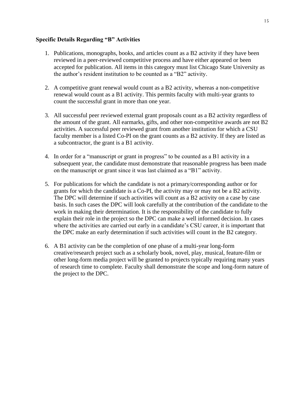#### **Specific Details Regarding "B" Activities**

- 1. Publications, monographs, books, and articles count as a B2 activity if they have been reviewed in a peer-reviewed competitive process and have either appeared or been accepted for publication. All items in this category must list Chicago State University as the author's resident institution to be counted as a "B2" activity.
- 2. A competitive grant renewal would count as a B2 activity, whereas a non-competitive renewal would count as a B1 activity. This permits faculty with multi-year grants to count the successful grant in more than one year.
- 3. All successful peer reviewed external grant proposals count as a B2 activity regardless of the amount of the grant. All earmarks, gifts, and other non-competitive awards are not B2 activities. A successful peer reviewed grant from another institution for which a CSU faculty member is a listed Co-PI on the grant counts as a B2 activity. If they are listed as a subcontractor, the grant is a B1 activity.
- 4. In order for a "manuscript or grant in progress" to be counted as a B1 activity in a subsequent year, the candidate must demonstrate that reasonable progress has been made on the manuscript or grant since it was last claimed as a "B1" activity.
- 5. For publications for which the candidate is not a primary/corresponding author or for grants for which the candidate is a Co-PI, the activity may or may not be a B2 activity. The DPC will determine if such activities will count as a B2 activity on a case by case basis. In such cases the DPC will look carefully at the contribution of the candidate to the work in making their determination. It is the responsibility of the candidate to fully explain their role in the project so the DPC can make a well informed decision. In cases where the activities are carried out early in a candidate's CSU career, it is important that the DPC make an early determination if such activities will count in the B2 category.
- 6. A B1 activity can be the completion of one phase of a multi-year long-form creative/research project such as a scholarly book, novel, play, musical, feature-film or other long-form media project will be granted to projects typically requiring many years of research time to complete. Faculty shall demonstrate the scope and long-form nature of the project to the DPC.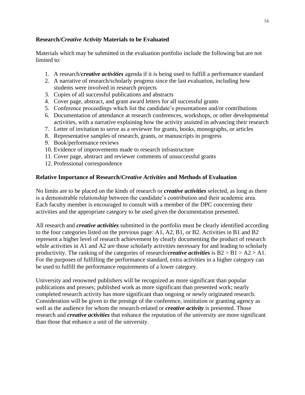#### **Research/***Creative Activity* **Materials to be Evaluated**

Materials which may be submitted in the evaluation portfolio include the following but are not limited to:

- 1. A research/*creative activities* agenda if it is being used to fulfill a performance standard
- 2. A narrative of research/scholarly progress since the last evaluation, including how students were involved in research projects
- 3. Copies of all successful publications and abstracts
- 4. Cover page, abstract, and grant award letters for all successful grants
- 5. Conference proceedings which list the candidate's presentations and/or contributions
- 6. Documentation of attendance at research conferences, workshops, or other developmental activities, with a narrative explaining how the activity assisted in advancing their research
- 7. Letter of invitation to serve as a reviewer for grants, books, monographs, or articles
- 8. Representative samples of research, grants, or manuscripts in progress
- 9. Book/performance reviews
- 10. Evidence of improvements made to research infrastructure
- 11. Cover page, abstract and reviewer comments of unsuccessful grants
- 12. Professional correspondence

#### **Relative Importance of Research/***Creative Activities* **and Methods of Evaluation**

No limits are to be placed on the kinds of research or *creative activities* selected, as long as there is a demonstrable relationship between the candidate's contribution and their academic area. Each faculty member is encouraged to consult with a member of the DPC concerning their activities and the appropriate category to be used given the documentation presented.

All research and *creative activities* submitted in the portfolio must be clearly identified according to the four categories listed on the previous page: A1, A2, B1, or B2. Activities in B1 and B2 represent a higher level of research achievement by clearly documenting the product of research while activities in A1 and A2 are those scholarly activities necessary for and leading to scholarly productivity. The ranking of the categories of research/*creative activities* is B2 > B1 > A2 > A1. For the purposes of fulfilling the performance standard, extra activities in a higher category can be used to fulfill the performance requirements of a lower category.

University and renowned publishers will be recognized as more significant than popular publications and presses; published work as more significant than presented work; nearly completed research activity has more significant than ongoing or newly originated research. Consideration will be given to the prestige of the conference, institution or granting agency as well as the audience for whom the research-related or *creative activity* is presented. Those research and *creative activities* that enhance the reputation of the university are more significant than those that enhance a unit of the university.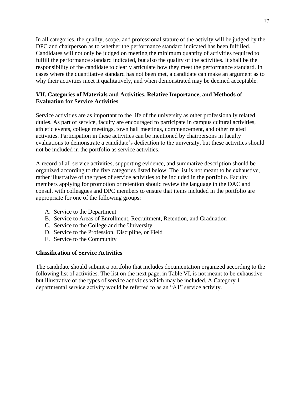In all categories, the quality, scope, and professional stature of the activity will be judged by the DPC and chairperson as to whether the performance standard indicated has been fulfilled. Candidates will not only be judged on meeting the minimum quantity of activities required to fulfill the performance standard indicated, but also the quality of the activities. It shall be the responsibility of the candidate to clearly articulate how they meet the performance standard. In cases where the quantitative standard has not been met, a candidate can make an argument as to why their activities meet it qualitatively, and when demonstrated may be deemed acceptable.

#### **VII. Categories of Materials and Activities, Relative Importance, and Methods of Evaluation for Service Activities**

Service activities are as important to the life of the university as other professionally related duties. As part of service, faculty are encouraged to participate in campus cultural activities, athletic events, college meetings, town hall meetings, commencement, and other related activities. Participation in these activities can be mentioned by chairpersons in faculty evaluations to demonstrate a candidate's dedication to the university, but these activities should not be included in the portfolio as service activities.

A record of all service activities, supporting evidence, and summative description should be organized according to the five categories listed below. The list is not meant to be exhaustive, rather illustrative of the types of service activities to be included in the portfolio. Faculty members applying for promotion or retention should review the language in the DAC and consult with colleagues and DPC members to ensure that items included in the portfolio are appropriate for one of the following groups:

- A. Service to the Department
- B. Service to Areas of Enrollment, Recruitment, Retention, and Graduation
- C. Service to the College and the University
- D. Service to the Profession, Discipline, or Field
- E. Service to the Community

#### **Classification of Service Activities**

The candidate should submit a portfolio that includes documentation organized according to the following list of activities. The list on the next page, in Table VI, is not meant to be exhaustive but illustrative of the types of service activities which may be included. A Category 1 departmental service activity would be referred to as an "A1" service activity.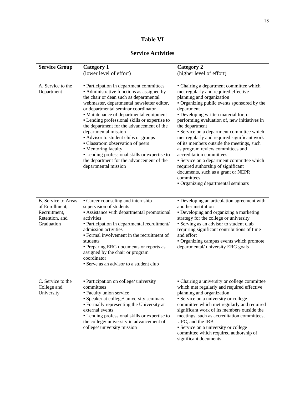| anıe |  |
|------|--|
|------|--|

#### **Service Activities**

| <b>Service Group</b>                                                                         | <b>Category 1</b>                                                                                                                                                                                                                                                                                                                                                                                                                                                                                                                                                                                              | <b>Category 2</b>                                                                                                                                                                                                                                                                                                                                                                                                                                                                                                                                                                                                                                                          |
|----------------------------------------------------------------------------------------------|----------------------------------------------------------------------------------------------------------------------------------------------------------------------------------------------------------------------------------------------------------------------------------------------------------------------------------------------------------------------------------------------------------------------------------------------------------------------------------------------------------------------------------------------------------------------------------------------------------------|----------------------------------------------------------------------------------------------------------------------------------------------------------------------------------------------------------------------------------------------------------------------------------------------------------------------------------------------------------------------------------------------------------------------------------------------------------------------------------------------------------------------------------------------------------------------------------------------------------------------------------------------------------------------------|
|                                                                                              | (lower level of effort)                                                                                                                                                                                                                                                                                                                                                                                                                                                                                                                                                                                        | (higher level of effort)                                                                                                                                                                                                                                                                                                                                                                                                                                                                                                                                                                                                                                                   |
| A. Service to the<br>Department                                                              | • Participation in department committees<br>• Administrative functions as assigned by<br>the chair or dean such as departmental<br>webmaster, departmental newsletter editor,<br>or departmental seminar coordinator<br>• Maintenance of departmental equipment<br>• Lending professional skills or expertise to<br>the department for the advancement of the<br>departmental mission<br>• Advisor to student clubs or groups<br>• Classroom observation of peers<br>• Mentoring faculty<br>• Lending professional skills or expertise to<br>the department for the advancement of the<br>departmental mission | • Chairing a department committee which<br>met regularly and required effective<br>planning and organization<br>• Organizing public events sponsored by the<br>department<br>• Developing written material for, or<br>performing evaluation of, new initiatives in<br>the department<br>• Service on a department committee which<br>met regularly and required significant work<br>of its members outside the meetings, such<br>as program review committees and<br>accreditation committees<br>· Service on a department committee which<br>required authorship of significant<br>documents, such as a grant or NEPR<br>committees<br>• Organizing departmental seminars |
| <b>B.</b> Service to Areas<br>of Enrollment,<br>Recruitment,<br>Retention, and<br>Graduation | • Career counseling and internship<br>supervision of students<br>• Assistance with departmental promotional<br>activities<br>· Participation in departmental recruitment/<br>admission activities<br>• Formal involvement in the recruitment of<br>students<br>• Preparing ERG documents or reports as<br>assigned by the chair or program<br>coordinator<br>• Serve as an advisor to a student club                                                                                                                                                                                                           | • Developing an articulation agreement with<br>another institution<br>• Developing and organizing a marketing<br>strategy for the college or university<br>• Serving as an advisor to student club<br>requiring significant contributions of time<br>and effort<br>• Organizing campus events which promote<br>departmental/university ERG goals                                                                                                                                                                                                                                                                                                                           |
| C. Service to the<br>College and<br>University                                               | · Participation on college/ university<br>committees<br>• Faculty union service<br>· Speaker at college/ university seminars<br>• Formally representing the University at<br>external events<br>• Lending professional skills or expertise to<br>the college/ university in advancement of<br>college/ university mission                                                                                                                                                                                                                                                                                      | • Chairing a university or college committee<br>which met regularly and required effective<br>planning and organization<br>• Service on a university or college<br>committee which met regularly and required<br>significant work of its members outside the<br>meetings, such as accreditation committees,<br>UPC, and the IRB<br>• Service on a university or college<br>committee which required authorship of<br>significant documents                                                                                                                                                                                                                                 |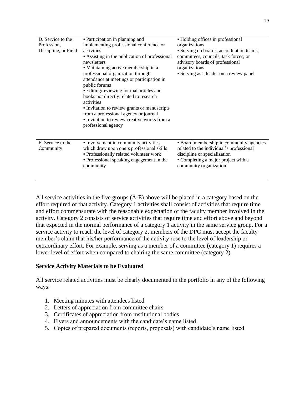| D. Service to the<br>Profession,<br>Discipline, or Field | • Participation in planning and<br>implementing professional conference or<br>activities<br>• Assisting in the publication of professional<br>newsletters<br>• Maintaining active membership in a<br>professional organization through<br>attendance at meetings or participation in<br>public forums<br>• Editing/reviewing journal articles and<br>books not directly related to research<br>activities<br>• Invitation to review grants or manuscripts<br>from a professional agency or journal<br>• Invitation to review creative works from a<br>professional agency | • Holding offices in professional<br>organizations<br>· Serving on boards, accreditation teams,<br>committees, councils, task forces, or<br>advisory boards of professional<br>organizations<br>• Serving as a leader on a review panel |
|----------------------------------------------------------|---------------------------------------------------------------------------------------------------------------------------------------------------------------------------------------------------------------------------------------------------------------------------------------------------------------------------------------------------------------------------------------------------------------------------------------------------------------------------------------------------------------------------------------------------------------------------|-----------------------------------------------------------------------------------------------------------------------------------------------------------------------------------------------------------------------------------------|
| E. Service to the<br>Community                           | • Involvement in community activities<br>which draw upon one's professional skills<br>· Professionally related volunteer work<br>• Professional speaking engagement in the<br>community                                                                                                                                                                                                                                                                                                                                                                                   | · Board membership in community agencies<br>related to the individual's professional<br>discipline or specialization<br>• Completing a major project with a<br>community organization                                                   |

All service activities in the five groups (A-E) above will be placed in a category based on the effort required of that activity. Category 1 activities shall consist of activities that require time and effort commensurate with the reasonable expectation of the faculty member involved in the activity. Category 2 consists of service activities that require time and effort above and beyond that expected in the normal performance of a category 1 activity in the same service group. For a service activity to reach the level of category 2, members of the DPC must accept the faculty member's claim that his/her performance of the activity rose to the level of leadership or extraordinary effort. For example, serving as a member of a committee (category 1) requires a lower level of effort when compared to chairing the same committee (category 2).

#### **Service Activity Materials to be Evaluated**

All service related activities must be clearly documented in the portfolio in any of the following ways:

- 1. Meeting minutes with attendees listed
- 2. Letters of appreciation from committee chairs
- 3. Certificates of appreciation from institutional bodies
- 4. Flyers and announcements with the candidate's name listed
- 5. Copies of prepared documents (reports, proposals) with candidate's name listed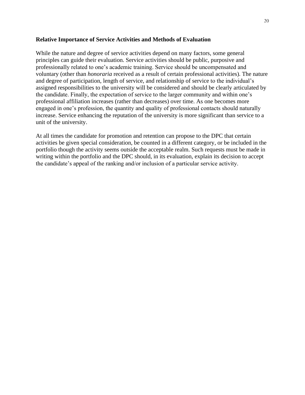#### **Relative Importance of Service Activities and Methods of Evaluation**

While the nature and degree of service activities depend on many factors, some general principles can guide their evaluation. Service activities should be public, purposive and professionally related to one's academic training. Service should be uncompensated and voluntary (other than *honoraria* received as a result of certain professional activities). The nature and degree of participation, length of service, and relationship of service to the individual's assigned responsibilities to the university will be considered and should be clearly articulated by the candidate. Finally, the expectation of service to the larger community and within one's professional affiliation increases (rather than decreases) over time. As one becomes more engaged in one's profession, the quantity and quality of professional contacts should naturally increase. Service enhancing the reputation of the university is more significant than service to a unit of the university.

At all times the candidate for promotion and retention can propose to the DPC that certain activities be given special consideration, be counted in a different category, or be included in the portfolio though the activity seems outside the acceptable realm. Such requests must be made in writing within the portfolio and the DPC should, in its evaluation, explain its decision to accept the candidate's appeal of the ranking and/or inclusion of a particular service activity.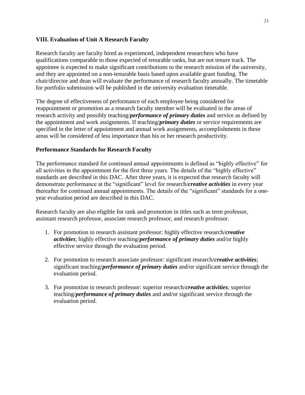#### **VIII. Evaluation of Unit A Research Faculty**

Research faculty are faculty hired as experienced, independent researchers who have qualifications comparable to those expected of tenurable ranks, but are not tenure track. The appointee is expected to make significant contributions to the research mission of the university, and they are appointed on a non-tenurable basis based upon available grant funding. The chair/director and dean will evaluate the performance of research faculty annually. The timetable for portfolio submission will be published in the university evaluation timetable.

The degree of effectiveness of performance of each employee being considered for reappointment or promotion as a research faculty member will be evaluated in the areas of research activity and possibly teaching/*performance of primary duties* and service as defined by the appointment and work assignments. If teaching/*primary duties* or service requirements are specified in the letter of appointment and annual work assignments, accomplishments in these areas will be considered of less importance than his or her research productivity.

#### **Performance Standards for Research Faculty**

The performance standard for continued annual appointments is defined as "highly effective" for all activities in the appointment for the first three years. The details of the "highly effective" standards are described in this DAC. After three years, it is expected that research faculty will demonstrate performance at the "significant" level for research/*creative activities* in every year thereafter for continued annual appointments. The details of the "significant" standards for a oneyear evaluation period are described in this DAC.

Research faculty are also eligible for rank and promotion in titles such as term professor, assistant research professor, associate research professor, and research professor.

- 1. For promotion to research assistant professor: highly effective research/*creative activities*; highly effective teaching/*performance of primary duties* and/or highly effective service through the evaluation period.
- 2. For promotion to research associate professor: significant research/*creative activities*; significant teaching/*performance of primary duties* and/or significant service through the evaluation period.
- 3. For promotion to research professor: superior research/*creative activities*; superior teaching/*performance of primary duties* and and/or significant service through the evaluation period.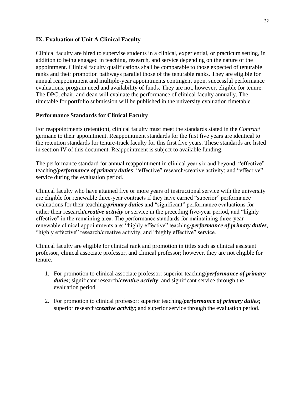#### **IX. Evaluation of Unit A Clinical Faculty**

Clinical faculty are hired to supervise students in a clinical, experiential, or practicum setting, in addition to being engaged in teaching, research, and service depending on the nature of the appointment. Clinical faculty qualifications shall be comparable to those expected of tenurable ranks and their promotion pathways parallel those of the tenurable ranks. They are eligible for annual reappointment and multiple-year appointments contingent upon, successful performance evaluations, program need and availability of funds. They are not, however, eligible for tenure. The DPC, chair, and dean will evaluate the performance of clinical faculty annually. The timetable for portfolio submission will be published in the university evaluation timetable.

#### **Performance Standards for Clinical Faculty**

For reappointments (retention), clinical faculty must meet the standards stated in the *Contract*  germane to their appointment. Reappointment standards for the first five years are identical to the retention standards for tenure-track faculty for this first five years. These standards are listed in section IV of this document. Reappointment is subject to available funding.

The performance standard for annual reappointment in clinical year six and beyond: "effective" teaching/*performance of primary duties*; "effective" research/creative activity; and "effective" service during the evaluation period.

Clinical faculty who have attained five or more years of instructional service with the university are eligible for renewable three-year contracts if they have earned "superior" performance evaluations for their teaching/*primary duties* and "significant" performance evaluations for either their research/*creative activity* or service in the preceding five-year period, and "highly effective" in the remaining area. The performance standards for maintaining three-year renewable clinical appointments are: "highly effective" teaching/*performance of primary duties*, "highly effective" research/creative activity, and "highly effective" service.

Clinical faculty are eligible for clinical rank and promotion in titles such as clinical assistant professor, clinical associate professor, and clinical professor; however, they are not eligible for tenure.

- 1. For promotion to clinical associate professor: superior teaching/*performance of primary duties*; significant research/*creative activity*; and significant service through the evaluation period.
- 2. For promotion to clinical professor: superior teaching/*performance of primary duties*; superior research/*creative activity*; and superior service through the evaluation period.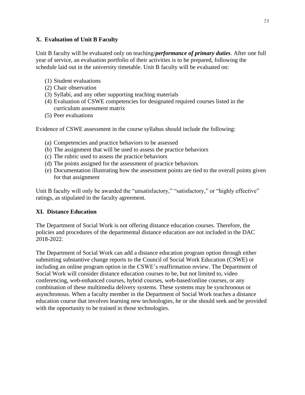#### **X. Evaluation of Unit B Faculty**

Unit B faculty will be evaluated only on teaching/*performance of primary duties*. After one full year of service, an evaluation portfolio of their activities is to be prepared, following the schedule laid out in the university timetable. Unit B faculty will be evaluated on:

- (1) Student evaluations
- (2) Chair observation
- (3) Syllabi, and any other supporting teaching materials
- (4) Evaluation of CSWE competencies for designated required courses listed in the curriculum assessment matrix
- (5) Peer evaluations

Evidence of CSWE assessment in the course syllabus should include the following:

- (a) Competencies and practice behaviors to be assessed
- (b) The assignment that will be used to assess the practice behaviors
- (c) The rubric used to assess the practice behaviors
- (d) The points assigned for the assessment of practice behaviors
- (e) Documentation illustrating how the assessment points are tied to the overall points given for that assignment

Unit B faculty will only be awarded the "unsatisfactory," "satisfactory," or "highly effective" ratings, as stipulated in the faculty agreement.

#### **XI. Distance Education**

The Department of Social Work is not offering distance education courses. Therefore, the policies and procedures of the departmental distance education are not included in the DAC 2018-2022.

The Department of Social Work can add a distance education program option through either submitting substantive change reports to the Council of Social Work Education (CSWE) or including an online program option in the CSWE's reaffirmation review. The Department of Social Work will consider distance education courses to be, but not limited to, video conferencing, web-enhanced courses, hybrid courses, web-based/online courses, or any combination of these multimedia delivery systems. These systems may be synchronous or asynchronous. When a faculty member in the Department of Social Work teaches a distance education course that involves learning new technologies, he or she should seek and be provided with the opportunity to be trained in those technologies.